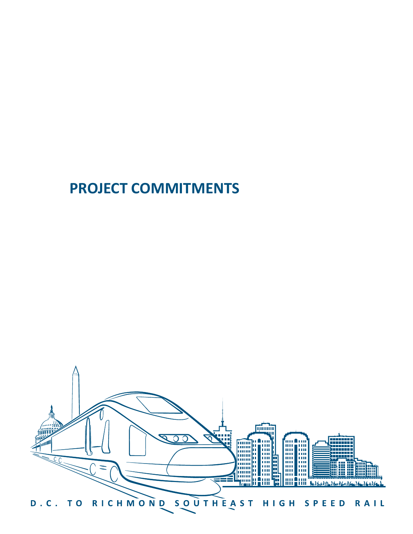# **PROJECT COMMITMENTS**

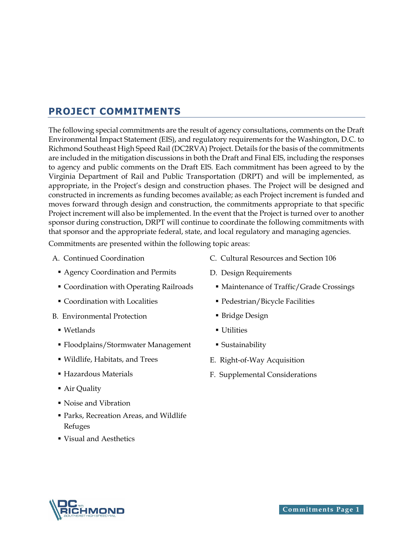# **PROJECT COMMITMENTS**

The following special commitments are the result of agency consultations, comments on the Draft Environmental Impact Statement (EIS), and regulatory requirements for the Washington, D.C. to Richmond Southeast High Speed Rail (DC2RVA) Project. Details for the basis of the commitments are included in the mitigation discussions in both the Draft and Final EIS, including the responses to agency and public comments on the Draft EIS. Each commitment has been agreed to by the Virginia Department of Rail and Public Transportation (DRPT) and will be implemented, as appropriate, in the Project's design and construction phases. The Project will be designed and constructed in increments as funding becomes available; as each Project increment is funded and moves forward through design and construction, the commitments appropriate to that specific Project increment will also be implemented. In the event that the Project is turned over to another sponsor during construction, DRPT will continue to coordinate the following commitments with that sponsor and the appropriate federal, state, and local regulatory and managing agencies.

Commitments are presented within the following topic areas:

- - **Agency Coordination and Permits** D. Design Requirements
	-
	- Coordination with Localities Pedestrian/Bicycle Facilities
- B. Environmental Protection Bridge Design
	- Wetlands Utilities
	- Floodplains/Stormwater Management Sustainability
	- Wildlife, Habitats, and Trees E. Right-of-Way Acquisition
	-
	- Air Quality
	- Noise and Vibration
	- Parks, Recreation Areas, and Wildlife Refuges
	- Visual and Aesthetics
- A. Continued Coordination C. Cultural Resources and Section 106
	-
	- Coordination with Operating Railroads Maintenance of Traffic/Grade Crossings
		-
		-
		-
		-
		-
	- Hazardous Materials F. Supplemental Considerations

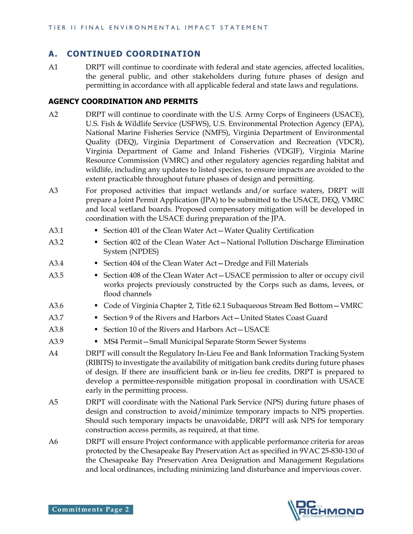# **A. CONTINUED COORDINATION**

A1 DRPT will continue to coordinate with federal and state agencies, affected localities, the general public, and other stakeholders during future phases of design and permitting in accordance with all applicable federal and state laws and regulations.

#### **AGENCY COORDINATION AND PERMITS**

- A2 DRPT will continue to coordinate with the U.S. Army Corps of Engineers (USACE), U.S. Fish & Wildlife Service (USFWS), U.S. Environmental Protection Agency (EPA), National Marine Fisheries Service (NMFS), Virginia Department of Environmental Quality (DEQ), Virginia Department of Conservation and Recreation (VDCR), Virginia Department of Game and Inland Fisheries (VDGIF), Virginia Marine Resource Commission (VMRC) and other regulatory agencies regarding habitat and wildlife, including any updates to listed species, to ensure impacts are avoided to the extent practicable throughout future phases of design and permitting.
- A3 For proposed activities that impact wetlands and/or surface waters, DRPT will prepare a Joint Permit Application (JPA) to be submitted to the USACE, DEQ, VMRC and local wetland boards. Proposed compensatory mitigation will be developed in coordination with the USACE during preparation of the JPA.
- A3.1 Section 401 of the Clean Water Act Water Quality Certification
- A3.2 Section 402 of the Clean Water Act—National Pollution Discharge Elimination System (NPDES)
- A3.4 Section 404 of the Clean Water Act Dredge and Fill Materials
- A3.5 Section 408 of the Clean Water Act USACE permission to alter or occupy civil works projects previously constructed by the Corps such as dams, levees, or flood channels
- A3.6 Code of Virginia Chapter 2, Title 62.1 Subaqueous Stream Bed Bottom—VMRC
- A3.7  **Section 9 of the Rivers and Harbors Act United States Coast Guard**
- A3.8 Section 10 of the Rivers and Harbors Act-USACE
- A3.9 MS4 Permit—Small Municipal Separate Storm Sewer Systems
- A4 DRPT will consult the Regulatory In-Lieu Fee and Bank Information Tracking System (RIBITS) to investigate the availability of mitigation bank credits during future phases of design. If there are insufficient bank or in-lieu fee credits, DRPT is prepared to develop a permittee-responsible mitigation proposal in coordination with USACE early in the permitting process.
- A5 DRPT will coordinate with the National Park Service (NPS) during future phases of design and construction to avoid/minimize temporary impacts to NPS properties. Should such temporary impacts be unavoidable, DRPT will ask NPS for temporary construction access permits, as required, at that time.
- A6 DRPT will ensure Project conformance with applicable performance criteria for areas protected by the Chesapeake Bay Preservation Act as specified in 9VAC 25-830-130 of the Chesapeake Bay Preservation Area Designation and Management Regulations and local ordinances, including minimizing land disturbance and impervious cover.

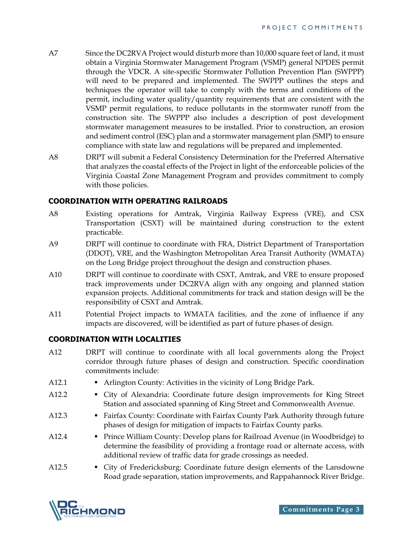- A7 Since the DC2RVA Project would disturb more than 10,000 square feet of land, it must obtain a Virginia Stormwater Management Program (VSMP) general NPDES permit through the VDCR. A site-specific Stormwater Pollution Prevention Plan (SWPPP) will need to be prepared and implemented. The SWPPP outlines the steps and techniques the operator will take to comply with the terms and conditions of the permit, including water quality/quantity requirements that are consistent with the VSMP permit regulations, to reduce pollutants in the stormwater runoff from the construction site. The SWPPP also includes a description of post development stormwater management measures to be installed. Prior to construction, an erosion and sediment control (ESC) plan and a stormwater management plan (SMP) to ensure compliance with state law and regulations will be prepared and implemented.
- A8 DRPT will submit a Federal Consistency Determination for the Preferred Alternative that analyzes the coastal effects of the Project in light of the enforceable policies of the Virginia Coastal Zone Management Program and provides commitment to comply with those policies.

#### **COORDINATION WITH OPERATING RAILROADS**

- A8 Existing operations for Amtrak, Virginia Railway Express (VRE), and CSX Transportation (CSXT) will be maintained during construction to the extent practicable.
- A9 DRPT will continue to coordinate with FRA, District Department of Transportation (DDOT), VRE, and the Washington Metropolitan Area Transit Authority (WMATA) on the Long Bridge project throughout the design and construction phases.
- A10 DRPT will continue to coordinate with CSXT, Amtrak, and VRE to ensure proposed track improvements under DC2RVA align with any ongoing and planned station expansion projects. Additional commitments for track and station design will be the responsibility of CSXT and Amtrak.
- A11 Potential Project impacts to WMATA facilities, and the zone of influence if any impacts are discovered, will be identified as part of future phases of design.

#### **COORDINATION WITH LOCALITIES**

- A12 DRPT will continue to coordinate with all local governments along the Project corridor through future phases of design and construction. Specific coordination commitments include:
- A12.1 Arlington County: Activities in the vicinity of Long Bridge Park.
- A12.2 City of Alexandria: Coordinate future design improvements for King Street Station and associated spanning of King Street and Commonwealth Avenue.
- A12.3 Fairfax County: Coordinate with Fairfax County Park Authority through future phases of design for mitigation of impacts to Fairfax County parks.
- A12.4 Prince William County: Develop plans for Railroad Avenue (in Woodbridge) to determine the feasibility of providing a frontage road or alternate access, with additional review of traffic data for grade crossings as needed.
- A12.5 City of Fredericksburg: Coordinate future design elements of the Lansdowne Road grade separation, station improvements, and Rappahannock River Bridge.

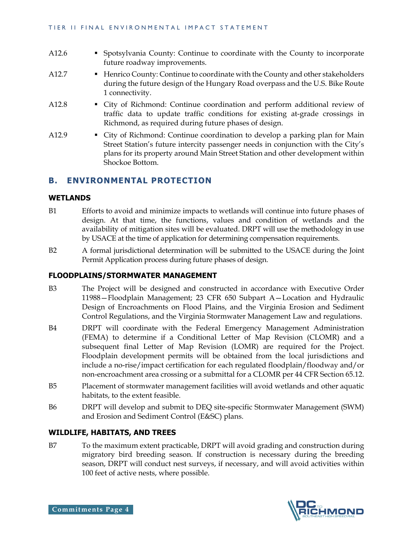- A12.6 Spotsylvania County: Continue to coordinate with the County to incorporate future roadway improvements.
- A12.7 **•** Henrico County: Continue to coordinate with the County and other stakeholders during the future design of the Hungary Road overpass and the U.S. Bike Route 1 connectivity.
- A12.8 City of Richmond: Continue coordination and perform additional review of traffic data to update traffic conditions for existing at-grade crossings in Richmond, as required during future phases of design.
- A12.9 City of Richmond: Continue coordination to develop a parking plan for Main Street Station's future intercity passenger needs in conjunction with the City's plans for its property around Main Street Station and other development within Shockoe Bottom.

# **B. ENVIRONMENTAL PROTECTION**

#### **WETLANDS**

- B1 Efforts to avoid and minimize impacts to wetlands will continue into future phases of design. At that time, the functions, values and condition of wetlands and the availability of mitigation sites will be evaluated. DRPT will use the methodology in use by USACE at the time of application for determining compensation requirements.
- B2 A formal jurisdictional determination will be submitted to the USACE during the Joint Permit Application process during future phases of design.

# **FLOODPLAINS/STORMWATER MANAGEMENT**

- B3 The Project will be designed and constructed in accordance with Executive Order 11988—Floodplain Management; 23 CFR 650 Subpart A—Location and Hydraulic Design of Encroachments on Flood Plains, and the Virginia Erosion and Sediment Control Regulations, and the Virginia Stormwater Management Law and regulations.
- B4 DRPT will coordinate with the Federal Emergency Management Administration (FEMA) to determine if a Conditional Letter of Map Revision (CLOMR) and a subsequent final Letter of Map Revision (LOMR) are required for the Project. Floodplain development permits will be obtained from the local jurisdictions and include a no-rise/impact certification for each regulated floodplain/floodway and/or non-encroachment area crossing or a submittal for a CLOMR per 44 CFR Section 65.12.
- B5 Placement of stormwater management facilities will avoid wetlands and other aquatic habitats, to the extent feasible.
- B6 DRPT will develop and submit to DEQ site-specific Stormwater Management (SWM) and Erosion and Sediment Control (E&SC) plans.

#### **WILDLIFE, HABITATS, AND TREES**

B7 To the maximum extent practicable, DRPT will avoid grading and construction during migratory bird breeding season. If construction is necessary during the breeding season, DRPT will conduct nest surveys, if necessary, and will avoid activities within 100 feet of active nests, where possible.

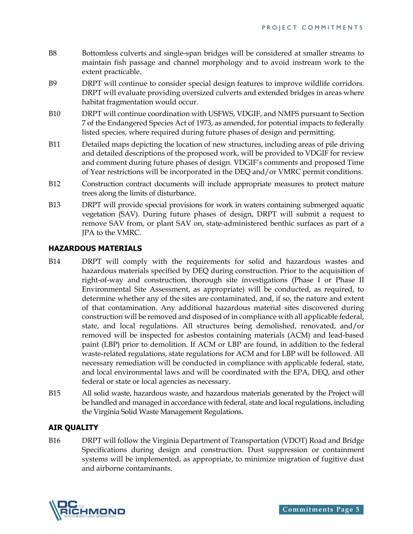- B8 Bottomless culverts and single-span bridges will be considered at smaller streams to maintain fish passage and channel morphology and to avoid instream work to the extent practicable.
- B9 DRPT will continue to consider special design features to improve wildlife corridors. DRPT will evaluate providing oversized culverts and extended bridges in areas where habitat fragmentation would occur.
- B10 DRPT will continue coordination with USFWS, VDGIF, and NMFS pursuant to Section 7 of the Endangered Species Act of 1973, as amended, for potential impacts to federally listed species, where required during future phases of design and permitting.
- B11 Detailed maps depicting the location of new structures, including areas of pile driving and detailed descriptions of the proposed work, will be provided to VDGIF for review and comment during future phases of design. VDGIF's comments and proposed Time of Year restrictions will be incorporated in the DEQ and/or VMRC permit conditions.
- B12 Construction contract documents will include appropriate measures to protect mature trees along the limits of disturbance.
- B13 DRPT will provide special provisions for work in waters containing submerged aquatic vegetation (SAV). During future phases of design, DRPT will submit a request to remove SAV from, or plant SAV on, state-administered benthic surfaces as part of a JPA to the VMRC.

#### **HAZARDOUS MATERIALS**

- B14 DRPT will comply with the requirements for solid and hazardous wastes and hazardous materials specified by DEQ during construction. Prior to the acquisition of right-of-way and construction, thorough site investigations (Phase I or Phase II Environmental Site Assessment, as appropriate) will be conducted, as required, to determine whether any of the sites are contaminated, and, if so, the nature and extent of that contamination. Any additional hazardous material sites discovered during construction will be removed and disposed of in compliance with all applicable federal, state, and local regulations. All structures being demolished, renovated, and/or removed will be inspected for asbestos containing materials (ACM) and lead-based paint (LBP) prior to demolition. If ACM or LBP are found, in addition to the federal waste-related regulations, state regulations for ACM and for LBP will be followed. All necessary remediation will be conducted in compliance with applicable federal, state, and local environmental laws and will be coordinated with the EPA, DEQ, and other federal or state or local agencies as necessary.
- B15 All solid waste, hazardous waste, and hazardous materials generated by the Project will be handled and managed in accordance with federal, state and local regulations, including the Virginia Solid Waste Management Regulations.

# **AIR QUALITY**

B16 DRPT will follow the Virginia Department of Transportation (VDOT) Road and Bridge Specifications during design and construction. Dust suppression or containment systems will be implemented, as appropriate, to minimize migration of fugitive dust and airborne contaminants.

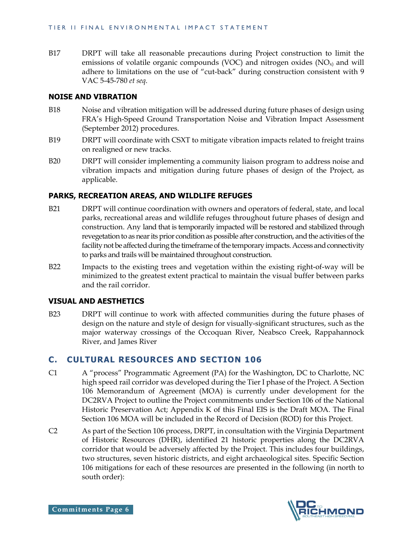B17 DRPT will take all reasonable precautions during Project construction to limit the emissions of volatile organic compounds (VOC) and nitrogen oxides  $(NO<sub>x</sub>)$  and will adhere to limitations on the use of "cut-back" during construction consistent with 9 VAC 5-45-780 *et seq*.

#### **NOISE AND VIBRATION**

- B18 Noise and vibration mitigation will be addressed during future phases of design using FRA's High-Speed Ground Transportation Noise and Vibration Impact Assessment (September 2012) procedures.
- B19 DRPT will coordinate with CSXT to mitigate vibration impacts related to freight trains on realigned or new tracks.
- B20 DRPT will consider implementing a community liaison program to address noise and vibration impacts and mitigation during future phases of design of the Project, as applicable.

#### **PARKS, RECREATION AREAS, AND WILDLIFE REFUGES**

- B21 DRPT will continue coordination with owners and operators of federal, state, and local parks, recreational areas and wildlife refuges throughout future phases of design and construction. Any land that is temporarily impacted will be restored and stabilized through revegetation to as near its prior condition as possible after construction, and the activities of the facility not be affected during the timeframe of the temporary impacts. Access and connectivity to parks and trails will be maintained throughout construction.
- B22 Impacts to the existing trees and vegetation within the existing right-of-way will be minimized to the greatest extent practical to maintain the visual buffer between parks and the rail corridor.

#### **VISUAL AND AESTHETICS**

B23 DRPT will continue to work with affected communities during the future phases of design on the nature and style of design for visually-significant structures, such as the major waterway crossings of the Occoquan River, Neabsco Creek, Rappahannock River, and James River

# **C. CULTURAL RESOURCES AND SECTION 106**

- C1 A "process" Programmatic Agreement (PA) for the Washington, DC to Charlotte, NC high speed rail corridor was developed during the Tier I phase of the Project. A Section 106 Memorandum of Agreement (MOA) is currently under development for the DC2RVA Project to outline the Project commitments under Section 106 of the National Historic Preservation Act; Appendix K of this Final EIS is the Draft MOA. The Final Section 106 MOA will be included in the Record of Decision (ROD) for this Project.
- C2 As part of the Section 106 process, DRPT, in consultation with the Virginia Department of Historic Resources (DHR), identified 21 historic properties along the DC2RVA corridor that would be adversely affected by the Project. This includes four buildings, two structures, seven historic districts, and eight archaeological sites. Specific Section 106 mitigations for each of these resources are presented in the following (in north to south order):

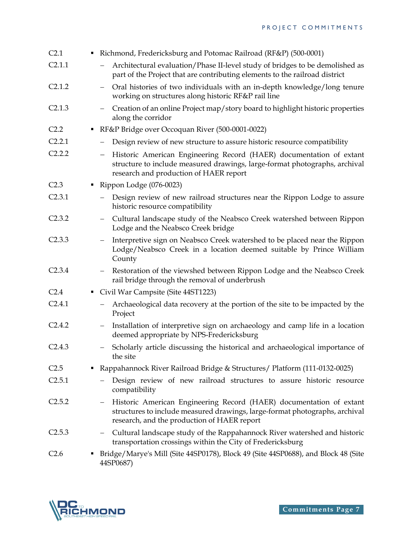| C <sub>2.1</sub>   | ٠ | Richmond, Fredericksburg and Potomac Railroad (RF&P) (500-0001)                                                                                                                                                  |
|--------------------|---|------------------------------------------------------------------------------------------------------------------------------------------------------------------------------------------------------------------|
| C2.1.1             |   | Architectural evaluation/Phase II-level study of bridges to be demolished as<br>$\qquad \qquad -$<br>part of the Project that are contributing elements to the railroad district                                 |
| C2.1.2             |   | Oral histories of two individuals with an in-depth knowledge/long tenure<br>working on structures along historic RF&P rail line                                                                                  |
| C2.1.3             |   | Creation of an online Project map/story board to highlight historic properties<br>along the corridor                                                                                                             |
| C <sub>2.2</sub>   | ٠ | RF&P Bridge over Occoquan River (500-0001-0022)                                                                                                                                                                  |
| C2.2.1             |   | Design review of new structure to assure historic resource compatibility                                                                                                                                         |
| C2.2.2             |   | Historic American Engineering Record (HAER) documentation of extant<br>$\qquad \qquad -$<br>structure to include measured drawings, large-format photographs, archival<br>research and production of HAER report |
| C <sub>2.3</sub>   |   | Rippon Lodge $(076-0023)$                                                                                                                                                                                        |
| C <sub>2.3.1</sub> |   | Design review of new railroad structures near the Rippon Lodge to assure<br>historic resource compatibility                                                                                                      |
| C2.3.2             |   | Cultural landscape study of the Neabsco Creek watershed between Rippon<br>$\overline{\phantom{m}}$<br>Lodge and the Neabsco Creek bridge                                                                         |
| C2.3.3             |   | Interpretive sign on Neabsco Creek watershed to be placed near the Rippon<br>$\qquad \qquad -$<br>Lodge/Neabsco Creek in a location deemed suitable by Prince William<br>County                                  |
| C2.3.4             |   | Restoration of the viewshed between Rippon Lodge and the Neabsco Creek<br>$\overline{\phantom{m}}$<br>rail bridge through the removal of underbrush                                                              |
| C <sub>2.4</sub>   |   | Civil War Campsite (Site 44ST1223)                                                                                                                                                                               |
| C2.4.1             |   | Archaeological data recovery at the portion of the site to be impacted by the<br>$\qquad \qquad -$<br>Project                                                                                                    |
| C2.4.2             |   | Installation of interpretive sign on archaeology and camp life in a location<br>deemed appropriate by NPS-Fredericksburg                                                                                         |
| C2.4.3             |   | - Scholarly article discussing the historical and archaeological importance of<br>the site                                                                                                                       |
| C <sub>2.5</sub>   | ٠ | Rappahannock River Railroad Bridge & Structures/ Platform (111-0132-0025)                                                                                                                                        |
| C2.5.1             |   | Design review of new railroad structures to assure historic resource<br>compatibility                                                                                                                            |
| C2.5.2             |   | Historic American Engineering Record (HAER) documentation of extant<br>structures to include measured drawings, large-format photographs, archival<br>research, and the production of HAER report                |
| C2.5.3             |   | Cultural landscape study of the Rappahannock River watershed and historic<br>$-$<br>transportation crossings within the City of Fredericksburg                                                                   |
| C <sub>2.6</sub>   |   | Bridge/Marye's Mill (Site 44SP0178), Block 49 (Site 44SP0688), and Block 48 (Site<br>44SP0687)                                                                                                                   |

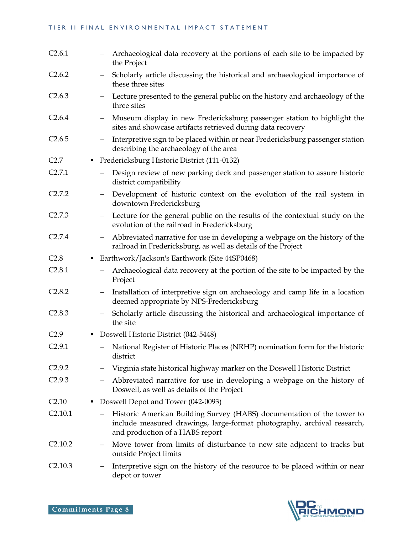#### TIER II FINAL ENVIRONMENTAL IMPACT STATEMENT

| C2.6.1                 |                          | Archaeological data recovery at the portions of each site to be impacted by<br>the Project                                                                                           |
|------------------------|--------------------------|--------------------------------------------------------------------------------------------------------------------------------------------------------------------------------------|
| C2.6.2                 |                          | Scholarly article discussing the historical and archaeological importance of<br>these three sites                                                                                    |
| C2.6.3                 |                          | Lecture presented to the general public on the history and archaeology of the<br>three sites                                                                                         |
| C2.6.4                 |                          | Museum display in new Fredericksburg passenger station to highlight the<br>sites and showcase artifacts retrieved during data recovery                                               |
| C2.6.5                 | $\overline{\phantom{m}}$ | Interpretive sign to be placed within or near Fredericksburg passenger station<br>describing the archaeology of the area                                                             |
| C2.7<br>٠              |                          | Fredericksburg Historic District (111-0132)                                                                                                                                          |
| C2.7.1                 |                          | Design review of new parking deck and passenger station to assure historic<br>district compatibility                                                                                 |
| C2.7.2                 |                          | Development of historic context on the evolution of the rail system in<br>downtown Fredericksburg                                                                                    |
| C2.7.3                 | $\overline{\phantom{m}}$ | Lecture for the general public on the results of the contextual study on the<br>evolution of the railroad in Fredericksburg                                                          |
| C2.7.4                 | $\overline{\phantom{m}}$ | Abbreviated narrative for use in developing a webpage on the history of the<br>railroad in Fredericksburg, as well as details of the Project                                         |
| C <sub>2.8</sub><br>٠  |                          | Earthwork/Jackson's Earthwork (Site 44SP0468)                                                                                                                                        |
| C <sub>2.8.1</sub>     |                          | Archaeological data recovery at the portion of the site to be impacted by the<br>Project                                                                                             |
| C <sub>2.8.2</sub>     |                          | Installation of interpretive sign on archaeology and camp life in a location<br>deemed appropriate by NPS-Fredericksburg                                                             |
| C2.8.3                 | $\overline{\phantom{m}}$ | Scholarly article discussing the historical and archaeological importance of<br>the site                                                                                             |
| C <sub>2.9</sub><br>٠  |                          | Doswell Historic District (042-5448)                                                                                                                                                 |
| C <sub>2.9.1</sub>     |                          | National Register of Historic Places (NRHP) nomination form for the historic<br>district                                                                                             |
| C <sub>2.9.2</sub>     |                          | Virginia state historical highway marker on the Doswell Historic District                                                                                                            |
| C <sub>2.9.3</sub>     |                          | Abbreviated narrative for use in developing a webpage on the history of<br>Doswell, as well as details of the Project                                                                |
| C <sub>2.10</sub><br>٠ |                          | Doswell Depot and Tower (042-0093)                                                                                                                                                   |
| C2.10.1                |                          | Historic American Building Survey (HABS) documentation of the tower to<br>include measured drawings, large-format photography, archival research,<br>and production of a HABS report |
| C2.10.2                |                          | Move tower from limits of disturbance to new site adjacent to tracks but<br>outside Project limits                                                                                   |
| C2.10.3                |                          | Interpretive sign on the history of the resource to be placed within or near<br>depot or tower                                                                                       |

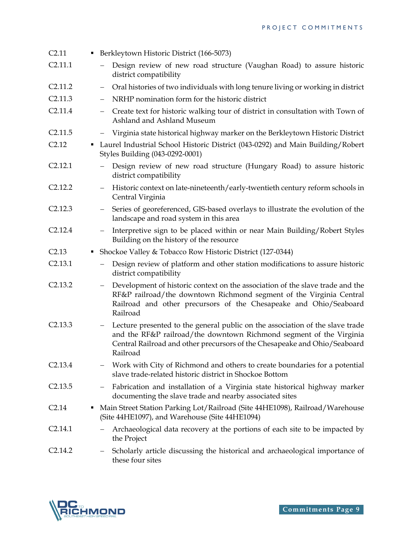| C2.11             |   | Berkleytown Historic District (166-5073)                                                                                                                                                                                                      |
|-------------------|---|-----------------------------------------------------------------------------------------------------------------------------------------------------------------------------------------------------------------------------------------------|
| C2.11.1           |   | Design review of new road structure (Vaughan Road) to assure historic<br>district compatibility                                                                                                                                               |
| C2.11.2           |   | Oral histories of two individuals with long tenure living or working in district                                                                                                                                                              |
| C2.11.3           |   | NRHP nomination form for the historic district                                                                                                                                                                                                |
| C2.11.4           |   | Create text for historic walking tour of district in consultation with Town of<br>Ashland and Ashland Museum                                                                                                                                  |
| C2.11.5           |   | Virginia state historical highway marker on the Berkleytown Historic District<br>$\overline{\phantom{m}}$                                                                                                                                     |
| C <sub>2.12</sub> | ٠ | Laurel Industrial School Historic District (043-0292) and Main Building/Robert<br>Styles Building (043-0292-0001)                                                                                                                             |
| C2.12.1           |   | Design review of new road structure (Hungary Road) to assure historic<br>district compatibility                                                                                                                                               |
| C2.12.2           |   | Historic context on late-nineteenth/early-twentieth century reform schools in<br>Central Virginia                                                                                                                                             |
| C2.12.3           |   | Series of georeferenced, GIS-based overlays to illustrate the evolution of the<br>$-$ .<br>landscape and road system in this area                                                                                                             |
| C2.12.4           |   | Interpretive sign to be placed within or near Main Building/Robert Styles<br>$\qquad \qquad -$<br>Building on the history of the resource                                                                                                     |
| C2.13             | ٠ | Shockoe Valley & Tobacco Row Historic District (127-0344)                                                                                                                                                                                     |
| C2.13.1           |   | Design review of platform and other station modifications to assure historic<br>district compatibility                                                                                                                                        |
| C2.13.2           |   | Development of historic context on the association of the slave trade and the<br>RF&P railroad/the downtown Richmond segment of the Virginia Central<br>Railroad and other precursors of the Chesapeake and Ohio/Seaboard<br>Railroad         |
| C2.13.3           |   | Lecture presented to the general public on the association of the slave trade<br>and the RF&P railroad/the downtown Richmond segment of the Virginia<br>Central Railroad and other precursors of the Chesapeake and Ohio/Seaboard<br>Railroad |
| C2.13.4           |   | Work with City of Richmond and others to create boundaries for a potential<br>slave trade-related historic district in Shockoe Bottom                                                                                                         |
| C2.13.5           |   | Fabrication and installation of a Virginia state historical highway marker<br>documenting the slave trade and nearby associated sites                                                                                                         |
| C <sub>2.14</sub> | ٠ | Main Street Station Parking Lot/Railroad (Site 44HE1098), Railroad/Warehouse<br>(Site 44HE1097), and Warehouse (Site 44HE1094)                                                                                                                |
| C2.14.1           |   | Archaeological data recovery at the portions of each site to be impacted by<br>the Project                                                                                                                                                    |
| C2.14.2           |   | Scholarly article discussing the historical and archaeological importance of<br>these four sites                                                                                                                                              |

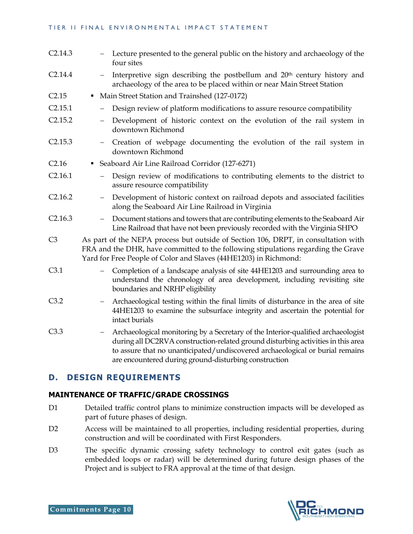#### TIER II FINAL ENVIRONMENTAL IMPACT STATEMENT

- C2.14.3 Lecture presented to the general public on the history and archaeology of the four sites  $C2.14.4$  - Interpretive sign describing the postbellum and  $20<sup>th</sup>$  century history and archaeology of the area to be placed within or near Main Street Station
- C2.15 Main Street Station and Trainshed (127-0172)
- C2.15.1 Design review of platform modifications to assure resource compatibility
- C2.15.2 Development of historic context on the evolution of the rail system in downtown Richmond
- C2.15.3 Creation of webpage documenting the evolution of the rail system in downtown Richmond
- C2.16 Seaboard Air Line Railroad Corridor (127-6271)
- C2.16.1 Design review of modifications to contributing elements to the district to assure resource compatibility
- C2.16.2 Development of historic context on railroad depots and associated facilities along the Seaboard Air Line Railroad in Virginia
- C2.16.3 Document stations and towers that are contributing elements to the Seaboard Air Line Railroad that have not been previously recorded with the Virginia SHPO
- C3 As part of the NEPA process but outside of Section 106, DRPT, in consultation with FRA and the DHR, have committed to the following stipulations regarding the Grave Yard for Free People of Color and Slaves (44HE1203) in Richmond:
- C3.1 Completion of a landscape analysis of site 44HE1203 and surrounding area to understand the chronology of area development, including revisiting site boundaries and NRHP eligibility
- C3.2 Archaeological testing within the final limits of disturbance in the area of site 44HE1203 to examine the subsurface integrity and ascertain the potential for intact burials
- C3.3 Archaeological monitoring by a Secretary of the Interior-qualified archaeologist during all DC2RVA construction-related ground disturbing activities in this area to assure that no unanticipated/undiscovered archaeological or burial remains are encountered during ground-disturbing construction

# **D. DESIGN REQUIREMENTS**

#### **MAINTENANCE OF TRAFFIC/GRADE CROSSINGS**

- D1 Detailed traffic control plans to minimize construction impacts will be developed as part of future phases of design.
- D2 Access will be maintained to all properties, including residential properties, during construction and will be coordinated with First Responders.
- D3 The specific dynamic crossing safety technology to control exit gates (such as embedded loops or radar) will be determined during future design phases of the Project and is subject to FRA approval at the time of that design.

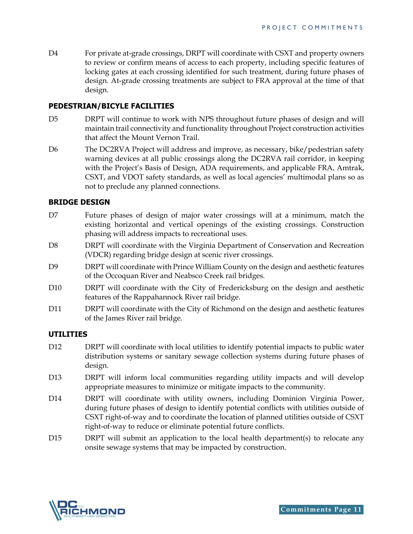D4 For private at-grade crossings, DRPT will coordinate with CSXT and property owners to review or confirm means of access to each property, including specific features of locking gates at each crossing identified for such treatment, during future phases of design. At-grade crossing treatments are subject to FRA approval at the time of that design.

#### **PEDESTRIAN/BICYLE FACILITIES**

- D5 DRPT will continue to work with NPS throughout future phases of design and will maintain trail connectivity and functionality throughout Project construction activities that affect the Mount Vernon Trail.
- D6 The DC2RVA Project will address and improve, as necessary, bike/pedestrian safety warning devices at all public crossings along the DC2RVA rail corridor, in keeping with the Project's Basis of Design, ADA requirements, and applicable FRA, Amtrak, CSXT, and VDOT safety standards, as well as local agencies' multimodal plans so as not to preclude any planned connections.

#### **BRIDGE DESIGN**

- D7 Future phases of design of major water crossings will at a minimum, match the existing horizontal and vertical openings of the existing crossings. Construction phasing will address impacts to recreational uses.
- D8 DRPT will coordinate with the Virginia Department of Conservation and Recreation (VDCR) regarding bridge design at scenic river crossings.
- D9 DRPT will coordinate with Prince William County on the design and aesthetic features of the Occoquan River and Neabsco Creek rail bridges.
- D10 DRPT will coordinate with the City of Fredericksburg on the design and aesthetic features of the Rappahannock River rail bridge.
- D11 DRPT will coordinate with the City of Richmond on the design and aesthetic features of the James River rail bridge.

#### **UTILITIES**

- D12 DRPT will coordinate with local utilities to identify potential impacts to public water distribution systems or sanitary sewage collection systems during future phases of design.
- D13 DRPT will inform local communities regarding utility impacts and will develop appropriate measures to minimize or mitigate impacts to the community.
- D14 DRPT will coordinate with utility owners, including Dominion Virginia Power, during future phases of design to identify potential conflicts with utilities outside of CSXT right-of-way and to coordinate the location of planned utilities outside of CSXT right-of-way to reduce or eliminate potential future conflicts.
- D15 DRPT will submit an application to the local health department(s) to relocate any onsite sewage systems that may be impacted by construction.